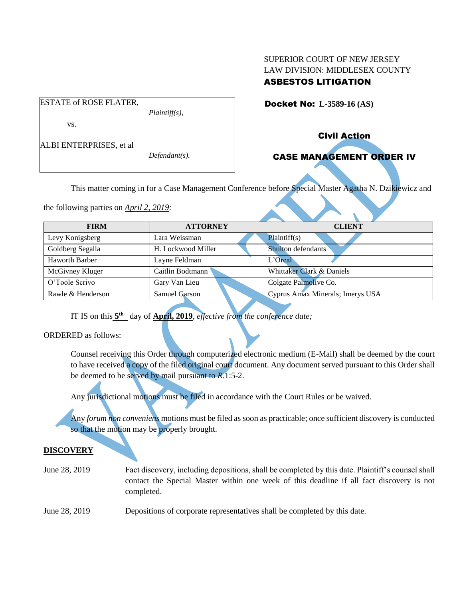## SUPERIOR COURT OF NEW JERSEY LAW DIVISION: MIDDLESEX COUNTY ASBESTOS LITIGATION

Docket No: **L-3589-16 (AS)** 

vs.

ESTATE of ROSE FLATER,

ALBI ENTERPRISES, et al

*Defendant(s).*

*Plaintiff(s),*

Civil Action

# CASE MANAGEMENT ORDER IV

This matter coming in for a Case Management Conference before Special Master Agatha N. Dzikiewicz and

the following parties on *April 2, 2019:*

| <b>FIRM</b>       | <b>ATTORNEY</b>    | <b>CLIENT</b>                    |
|-------------------|--------------------|----------------------------------|
| Levy Konigsberg   | Lara Weissman      | Plaintiff(s)                     |
| Goldberg Segalla  | H. Lockwood Miller | Shulton defendants               |
| Haworth Barber    | Layne Feldman      | L'Oreal                          |
| McGivney Kluger   | Caitlin Bodtmann   | Whittaker Clark & Daniels        |
| O'Toole Scrivo    | Gary Van Lieu      | Colgate Palmolive Co.            |
| Rawle & Henderson | Samuel Garson      | Cyprus Amax Minerals; Imerys USA |
|                   |                    |                                  |

IT IS on this  $5<sup>th</sup>$  day of **April, 2019**, *effective from the conference date*;

# ORDERED as follows:

Counsel receiving this Order through computerized electronic medium (E-Mail) shall be deemed by the court to have received a copy of the filed original court document. Any document served pursuant to this Order shall be deemed to be served by mail pursuant to *R*.1:5-2.

Any jurisdictional motions must be filed in accordance with the Court Rules or be waived.

Any *forum non conveniens* motions must be filed as soon as practicable; once sufficient discovery is conducted so that the motion may be properly brought.

# **DISCOVERY**

June 28, 2019 Fact discovery, including depositions, shall be completed by this date. Plaintiff's counsel shall contact the Special Master within one week of this deadline if all fact discovery is not completed.

June 28, 2019 Depositions of corporate representatives shall be completed by this date.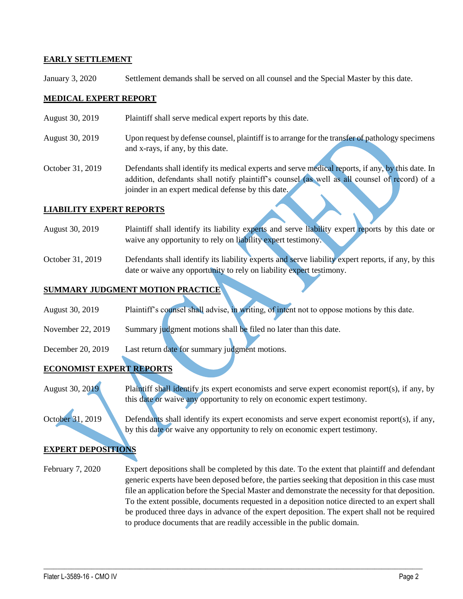#### **EARLY SETTLEMENT**

January 3, 2020 Settlement demands shall be served on all counsel and the Special Master by this date.

#### **MEDICAL EXPERT REPORT**

- August 30, 2019 Plaintiff shall serve medical expert reports by this date.
- August 30, 2019 Upon request by defense counsel, plaintiff is to arrange for the transfer of pathology specimens and x-rays, if any, by this date.
- October 31, 2019 Defendants shall identify its medical experts and serve medical reports, if any, by this date. In addition, defendants shall notify plaintiff's counsel (as well as all counsel of record) of a joinder in an expert medical defense by this date.

#### **LIABILITY EXPERT REPORTS**

- August 30, 2019 Plaintiff shall identify its liability experts and serve liability expert reports by this date or waive any opportunity to rely on liability expert testimony.
- October 31, 2019 Defendants shall identify its liability experts and serve liability expert reports, if any, by this date or waive any opportunity to rely on liability expert testimony.

## **SUMMARY JUDGMENT MOTION PRACTICE**

- August 30, 2019 Plaintiff's counsel shall advise, in writing, of intent not to oppose motions by this date.
- November 22, 2019 Summary judgment motions shall be filed no later than this date.
- December 20, 2019 Last return date for summary judgment motions.

### **ECONOMIST EXPERT REPORTS**

August 30, 2019 Plaintiff shall identify its expert economists and serve expert economist report(s), if any, by this date or waive any opportunity to rely on economic expert testimony.

October 31, 2019 Defendants shall identify its expert economists and serve expert economist report(s), if any, by this date or waive any opportunity to rely on economic expert testimony.

### **EXPERT DEPOSITIONS**

February 7, 2020 Expert depositions shall be completed by this date. To the extent that plaintiff and defendant generic experts have been deposed before, the parties seeking that deposition in this case must file an application before the Special Master and demonstrate the necessity for that deposition. To the extent possible, documents requested in a deposition notice directed to an expert shall be produced three days in advance of the expert deposition. The expert shall not be required to produce documents that are readily accessible in the public domain.

 $\_$  , and the set of the set of the set of the set of the set of the set of the set of the set of the set of the set of the set of the set of the set of the set of the set of the set of the set of the set of the set of th